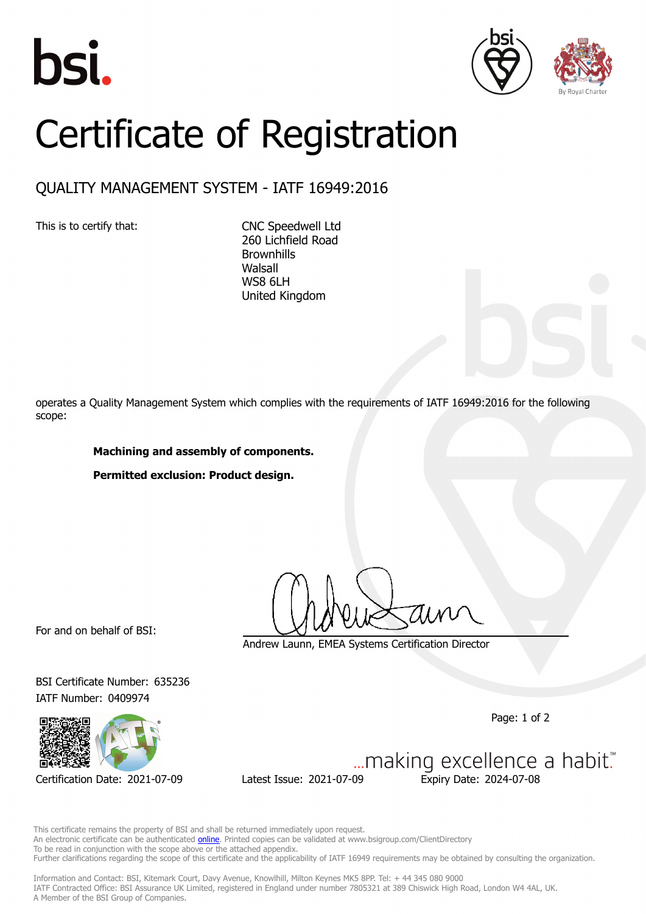





## Certificate of Registration

## QUALITY MANAGEMENT SYSTEM - IATF 16949:2016

This is to certify that: CNC Speedwell Ltd

260 Lichfield Road **Brownhills Walsall** WS8 6LH United Kingdom

operates a Quality Management System which complies with the requirements of IATF 16949:2016 for the following scope:

## **Machining and assembly of components.**

**Permitted exclusion: Product design.**

For and on behalf of BSI:

Andrew Launn, EMEA Systems Certification Director

BSI Certificate Number: 635236 IATF Number: 0409974



Certification Date: 2021-07-09 Latest Issue: 2021-07-09 Expiry Date: 2024-07-08

Page: 1 of 2

... making excellence a habit."

This certificate remains the property of BSI and shall be returned immediately upon request. An electronic certificate can be authenticated **[online](https://pgplus.bsigroup.com/CertificateValidation/CertificateValidator.aspx?CertificateNumber=TS+635236&ReIssueDate=09%2f07%2f2021&Template=uk)**. Printed copies can be validated at www.bsigroup.com/ClientDirectory To be read in conjunction with the scope above or the attached appendix. Further clarifications regarding the scope of this certificate and the applicability of IATF 16949 requirements may be obtained by consulting the organization.

Information and Contact: BSI, Kitemark Court, Davy Avenue, Knowlhill, Milton Keynes MK5 8PP. Tel: + 44 345 080 9000 IATF Contracted Office: BSI Assurance UK Limited, registered in England under number 7805321 at 389 Chiswick High Road, London W4 4AL, UK. A Member of the BSI Group of Companies.